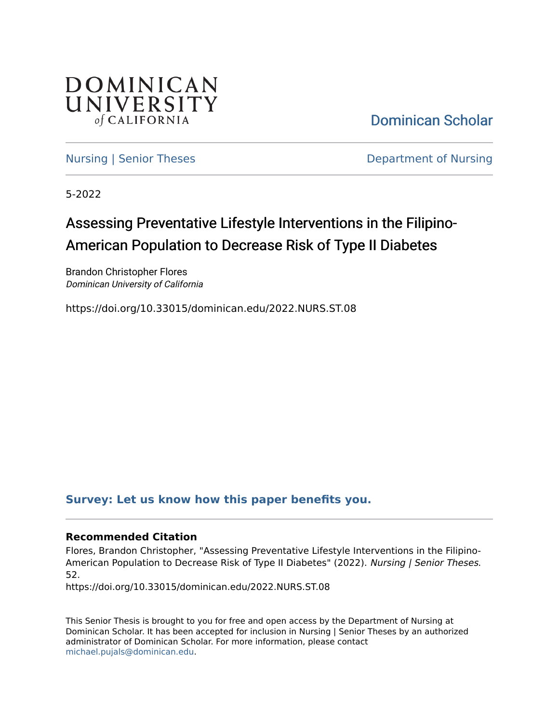

[Dominican Scholar](https://scholar.dominican.edu/) 

[Nursing | Senior Theses](https://scholar.dominican.edu/nursing-senior-theses) **Department of Nursing** 

5-2022

# Assessing Preventative Lifestyle Interventions in the Filipino-American Population to Decrease Risk of Type II Diabetes

Brandon Christopher Flores Dominican University of California

https://doi.org/10.33015/dominican.edu/2022.NURS.ST.08

# **[Survey: Let us know how this paper benefits you.](https://dominican.libwizard.com/dominican-scholar-feedback)**

## **Recommended Citation**

Flores, Brandon Christopher, "Assessing Preventative Lifestyle Interventions in the Filipino-American Population to Decrease Risk of Type II Diabetes" (2022). Nursing | Senior Theses. 52.

https://doi.org/10.33015/dominican.edu/2022.NURS.ST.08

This Senior Thesis is brought to you for free and open access by the Department of Nursing at Dominican Scholar. It has been accepted for inclusion in Nursing | Senior Theses by an authorized administrator of Dominican Scholar. For more information, please contact [michael.pujals@dominican.edu.](mailto:michael.pujals@dominican.edu)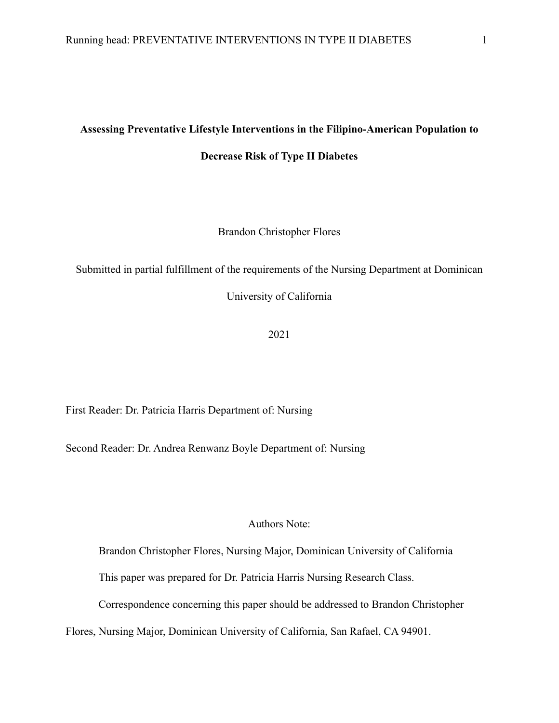#### **Assessing Preventative Lifestyle Interventions in the Filipino-American Population to**

**Decrease Risk of Type II Diabetes**

Brandon Christopher Flores

Submitted in partial fulfillment of the requirements of the Nursing Department at Dominican

University of California

2021

First Reader: Dr. Patricia Harris Department of: Nursing

Second Reader: Dr. Andrea Renwanz Boyle Department of: Nursing

## Authors Note:

Brandon Christopher Flores, Nursing Major, Dominican University of California

This paper was prepared for Dr. Patricia Harris Nursing Research Class.

Correspondence concerning this paper should be addressed to Brandon Christopher

Flores, Nursing Major, Dominican University of California, San Rafael, CA 94901.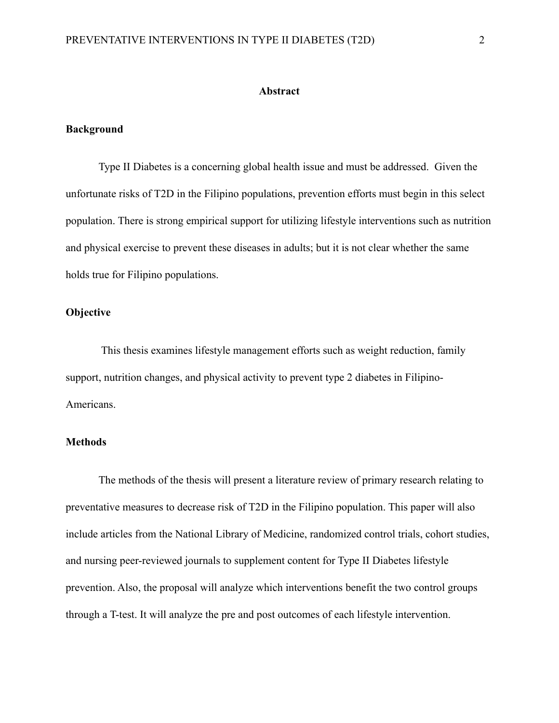#### **Abstract**

#### **Background**

Type II Diabetes is a concerning global health issue and must be addressed. Given the unfortunate risks of T2D in the Filipino populations, prevention efforts must begin in this select population. There is strong empirical support for utilizing lifestyle interventions such as nutrition and physical exercise to prevent these diseases in adults; but it is not clear whether the same holds true for Filipino populations.

# **Objective**

 This thesis examines lifestyle management efforts such as weight reduction, family support, nutrition changes, and physical activity to prevent type 2 diabetes in Filipino-Americans.

# **Methods**

The methods of the thesis will present a literature review of primary research relating to preventative measures to decrease risk of T2D in the Filipino population. This paper will also include articles from the National Library of Medicine, randomized control trials, cohort studies, and nursing peer-reviewed journals to supplement content for Type II Diabetes lifestyle prevention. Also, the proposal will analyze which interventions benefit the two control groups through a T-test. It will analyze the pre and post outcomes of each lifestyle intervention.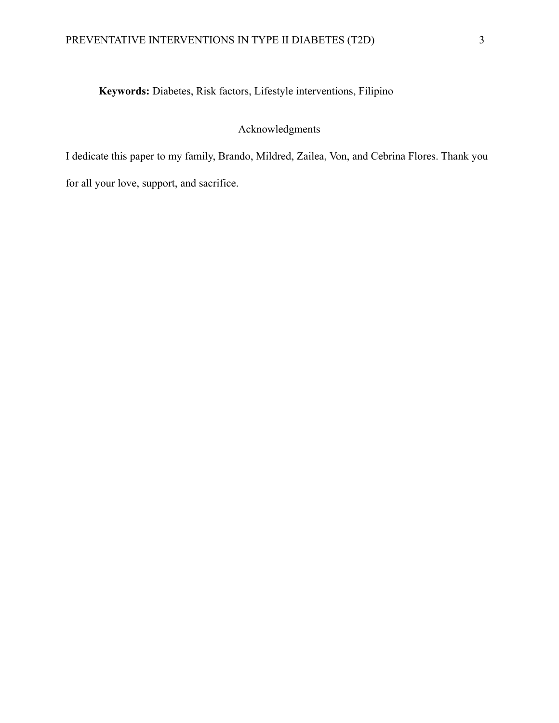# **Keywords:** Diabetes, Risk factors, Lifestyle interventions, Filipino

# Acknowledgments

I dedicate this paper to my family, Brando, Mildred, Zailea, Von, and Cebrina Flores. Thank you

for all your love, support, and sacrifice.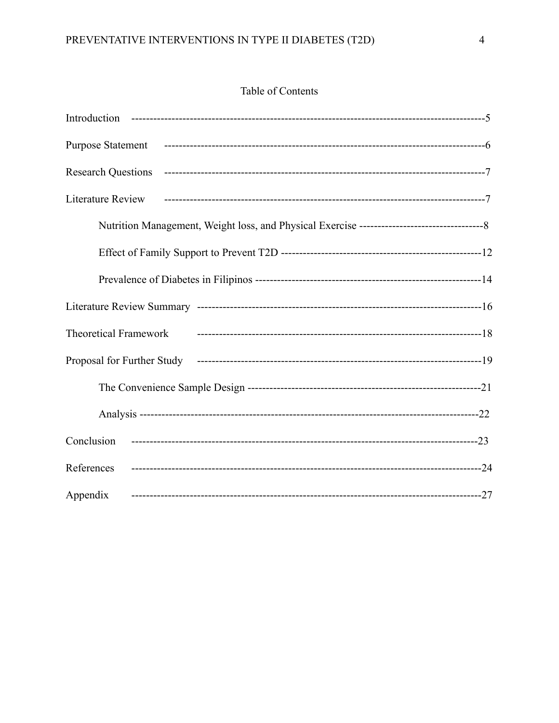# Table of Contents

| <b>Purpose Statement</b>     |  |
|------------------------------|--|
| <b>Research Questions</b>    |  |
| <b>Literature Review</b>     |  |
|                              |  |
|                              |  |
|                              |  |
|                              |  |
| <b>Theoretical Framework</b> |  |
| Proposal for Further Study   |  |
|                              |  |
|                              |  |
| Conclusion                   |  |
| References                   |  |
| Appendix                     |  |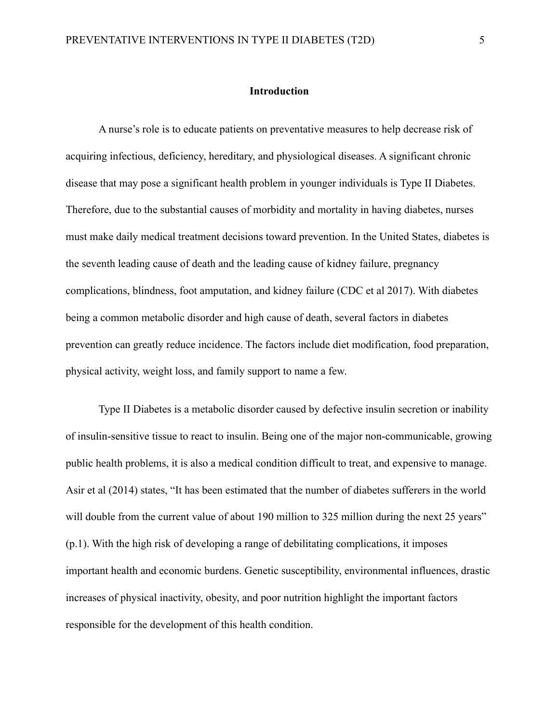#### **Introduction**

A nurse's role is to educate patients on preventative measures to help decrease risk of acquiring infectious, deficiency, hereditary, and physiological diseases. A significant chronic disease that may pose a significant health problem in younger individuals is Type II Diabetes. Therefore, due to the substantial causes of morbidity and mortality in having diabetes, nurses must make daily medical treatment decisions toward prevention. In the United States, diabetes is the seventh leading cause of death and the leading cause of kidney failure, pregnancy complications, blindness, foot amputation, and kidney failure (CDC et al 2017). With diabetes being a common metabolic disorder and high cause of death, several factors in diabetes prevention can greatly reduce incidence. The factors include diet modification, food preparation, physical activity, weight loss, and family support to name a few.

Type II Diabetes is a metabolic disorder caused by defective insulin secretion or inability of insulin-sensitive tissue to react to insulin. Being one of the major non-communicable, growing public health problems, it is also a medical condition difficult to treat, and expensive to manage. Asir et al (2014) states, "It has been estimated that the number of diabetes sufferers in the world will double from the current value of about 190 million to 325 million during the next 25 years" (p.1). With the high risk of developing a range of debilitating complications, it imposes important health and economic burdens. Genetic susceptibility, environmental influences, drastic increases of physical inactivity, obesity, and poor nutrition highlight the important factors responsible for the development of this health condition.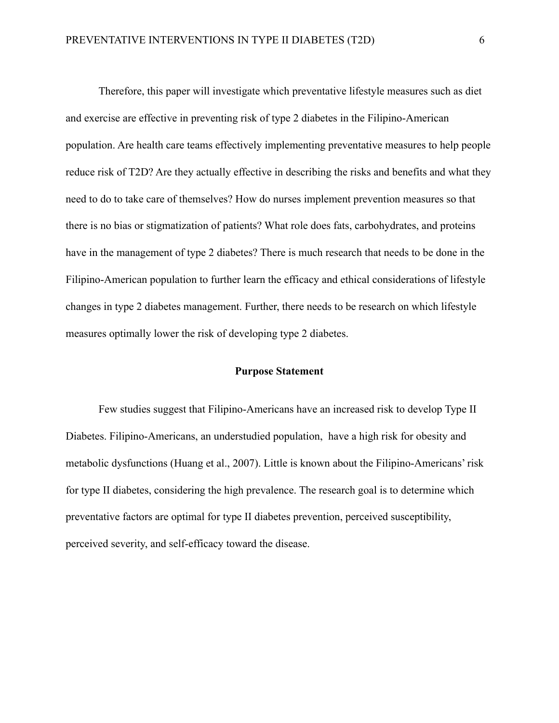Therefore, this paper will investigate which preventative lifestyle measures such as diet and exercise are effective in preventing risk of type 2 diabetes in the Filipino-American population. Are health care teams effectively implementing preventative measures to help people reduce risk of T2D? Are they actually effective in describing the risks and benefits and what they need to do to take care of themselves? How do nurses implement prevention measures so that there is no bias or stigmatization of patients? What role does fats, carbohydrates, and proteins have in the management of type 2 diabetes? There is much research that needs to be done in the Filipino-American population to further learn the efficacy and ethical considerations of lifestyle changes in type 2 diabetes management. Further, there needs to be research on which lifestyle measures optimally lower the risk of developing type 2 diabetes.

#### **Purpose Statement**

Few studies suggest that Filipino-Americans have an increased risk to develop Type II Diabetes. Filipino-Americans, an understudied population, have a high risk for obesity and metabolic dysfunctions (Huang et al., 2007). Little is known about the Filipino-Americans' risk for type II diabetes, considering the high prevalence. The research goal is to determine which preventative factors are optimal for type II diabetes prevention, perceived susceptibility, perceived severity, and self-efficacy toward the disease.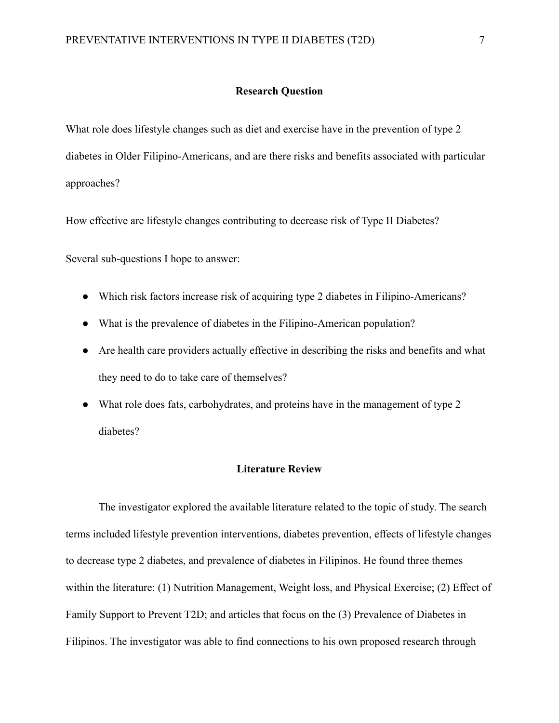#### **Research Question**

What role does lifestyle changes such as diet and exercise have in the prevention of type 2 diabetes in Older Filipino-Americans, and are there risks and benefits associated with particular approaches?

How effective are lifestyle changes contributing to decrease risk of Type II Diabetes?

Several sub-questions I hope to answer:

- Which risk factors increase risk of acquiring type 2 diabetes in Filipino-Americans?
- What is the prevalence of diabetes in the Filipino-American population?
- Are health care providers actually effective in describing the risks and benefits and what they need to do to take care of themselves?
- What role does fats, carbohydrates, and proteins have in the management of type 2 diabetes?

#### **Literature Review**

The investigator explored the available literature related to the topic of study. The search terms included lifestyle prevention interventions, diabetes prevention, effects of lifestyle changes to decrease type 2 diabetes, and prevalence of diabetes in Filipinos. He found three themes within the literature: (1) Nutrition Management, Weight loss, and Physical Exercise; (2) Effect of Family Support to Prevent T2D; and articles that focus on the (3) Prevalence of Diabetes in Filipinos. The investigator was able to find connections to his own proposed research through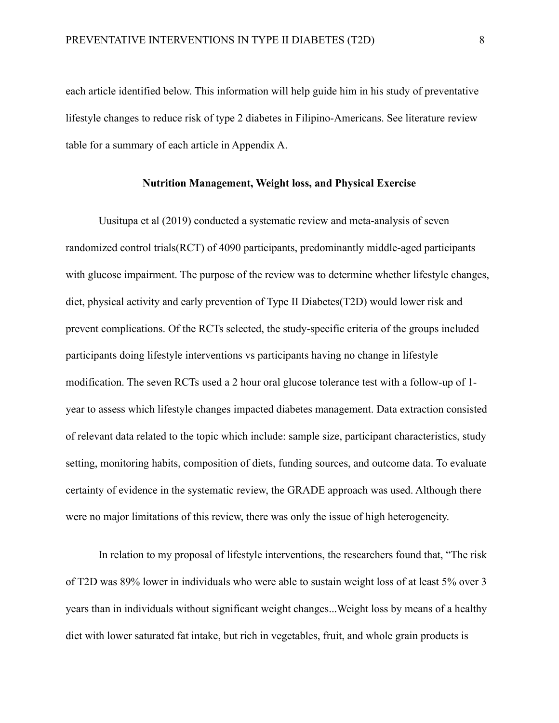each article identified below. This information will help guide him in his study of preventative lifestyle changes to reduce risk of type 2 diabetes in Filipino-Americans. See literature review table for a summary of each article in Appendix A.

## **Nutrition Management, Weight loss, and Physical Exercise**

Uusitupa et al (2019) conducted a systematic review and meta-analysis of seven randomized control trials(RCT) of 4090 participants, predominantly middle-aged participants with glucose impairment. The purpose of the review was to determine whether lifestyle changes, diet, physical activity and early prevention of Type II Diabetes(T2D) would lower risk and prevent complications. Of the RCTs selected, the study-specific criteria of the groups included participants doing lifestyle interventions vs participants having no change in lifestyle modification. The seven RCTs used a 2 hour oral glucose tolerance test with a follow-up of 1 year to assess which lifestyle changes impacted diabetes management. Data extraction consisted of relevant data related to the topic which include: sample size, participant characteristics, study setting, monitoring habits, composition of diets, funding sources, and outcome data. To evaluate certainty of evidence in the systematic review, the GRADE approach was used. Although there were no major limitations of this review, there was only the issue of high heterogeneity.

In relation to my proposal of lifestyle interventions, the researchers found that, "The risk of T2D was 89% lower in individuals who were able to sustain weight loss of at least 5% over 3 years than in individuals without significant weight changes...Weight loss by means of a healthy diet with lower saturated fat intake, but rich in vegetables, fruit, and whole grain products is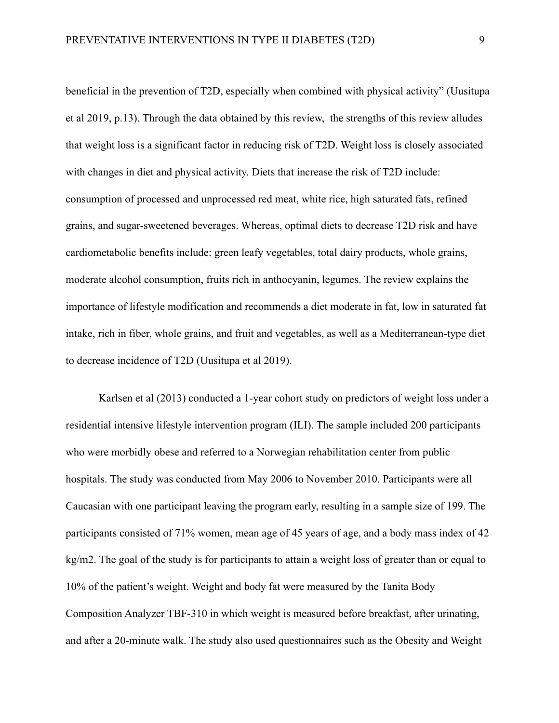beneficial in the prevention of T2D, especially when combined with physical activity" (Uusitupa et al 2019, p.13). Through the data obtained by this review, the strengths of this review alludes that weight loss is a significant factor in reducing risk of T2D. Weight loss is closely associated with changes in diet and physical activity. Diets that increase the risk of T2D include: consumption of processed and unprocessed red meat, white rice, high saturated fats, refined grains, and sugar-sweetened beverages. Whereas, optimal diets to decrease T2D risk and have cardiometabolic benefits include: green leafy vegetables, total dairy products, whole grains, moderate alcohol consumption, fruits rich in anthocyanin, legumes. The review explains the importance of lifestyle modification and recommends a diet moderate in fat, low in saturated fat intake, rich in fiber, whole grains, and fruit and vegetables, as well as a Mediterranean-type diet to decrease incidence of T2D (Uusitupa et al 2019).

Karlsen et al (2013) conducted a 1-year cohort study on predictors of weight loss under a residential intensive lifestyle intervention program (ILI). The sample included 200 participants who were morbidly obese and referred to a Norwegian rehabilitation center from public hospitals. The study was conducted from May 2006 to November 2010. Participants were all Caucasian with one participant leaving the program early, resulting in a sample size of 199. The participants consisted of 71% women, mean age of 45 years of age, and a body mass index of 42 kg/m2. The goal of the study is for participants to attain a weight loss of greater than or equal to 10% of the patient's weight. Weight and body fat were measured by the Tanita Body Composition Analyzer TBF-310 in which weight is measured before breakfast, after urinating, and after a 20-minute walk. The study also used questionnaires such as the Obesity and Weight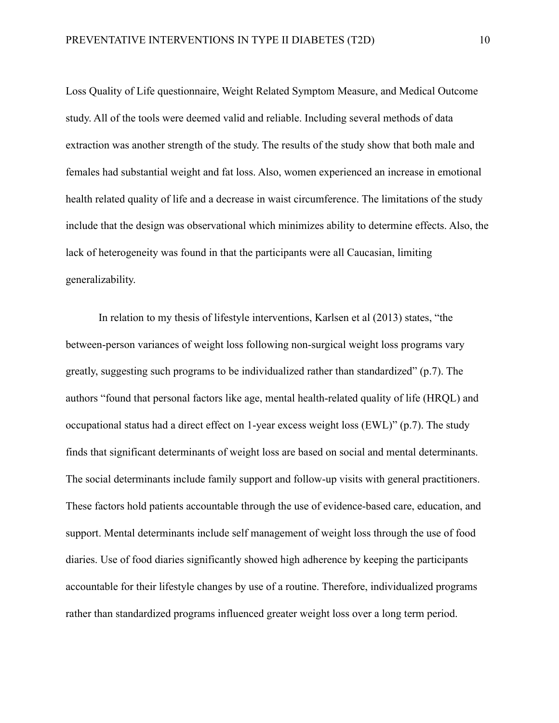Loss Quality of Life questionnaire, Weight Related Symptom Measure, and Medical Outcome study. All of the tools were deemed valid and reliable. Including several methods of data extraction was another strength of the study. The results of the study show that both male and females had substantial weight and fat loss. Also, women experienced an increase in emotional health related quality of life and a decrease in waist circumference. The limitations of the study include that the design was observational which minimizes ability to determine effects. Also, the lack of heterogeneity was found in that the participants were all Caucasian, limiting generalizability.

In relation to my thesis of lifestyle interventions, Karlsen et al (2013) states, "the between-person variances of weight loss following non-surgical weight loss programs vary greatly, suggesting such programs to be individualized rather than standardized" (p.7). The authors "found that personal factors like age, mental health-related quality of life (HRQL) and occupational status had a direct effect on 1-year excess weight loss (EWL)" (p.7). The study finds that significant determinants of weight loss are based on social and mental determinants. The social determinants include family support and follow-up visits with general practitioners. These factors hold patients accountable through the use of evidence-based care, education, and support. Mental determinants include self management of weight loss through the use of food diaries. Use of food diaries significantly showed high adherence by keeping the participants accountable for their lifestyle changes by use of a routine. Therefore, individualized programs rather than standardized programs influenced greater weight loss over a long term period.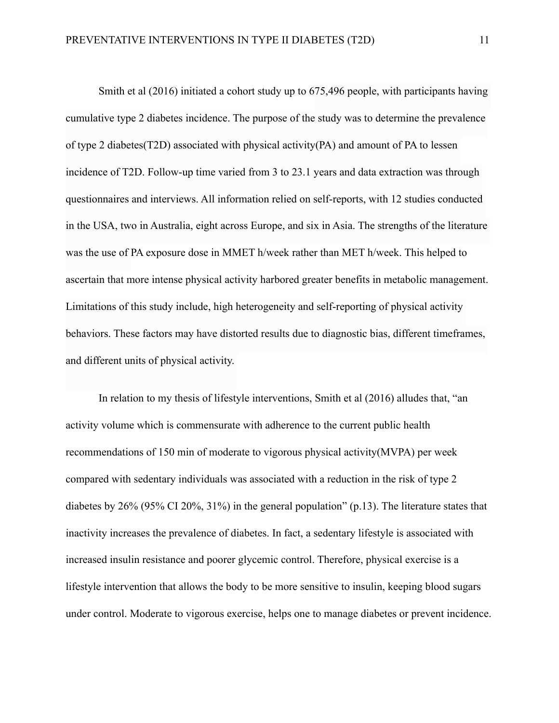Smith et al (2016) initiated a cohort study up to 675,496 people, with participants having cumulative type 2 diabetes incidence. The purpose of the study was to determine the prevalence of type 2 diabetes(T2D) associated with physical activity(PA) and amount of PA to lessen incidence of T2D. Follow-up time varied from 3 to 23.1 years and data extraction was through questionnaires and interviews. All information relied on self-reports, with 12 studies conducted in the USA, two in Australia, eight across Europe, and six in Asia. The strengths of the literature was the use of PA exposure dose in MMET h/week rather than MET h/week. This helped to ascertain that more intense physical activity harbored greater benefits in metabolic management. Limitations of this study include, high heterogeneity and self-reporting of physical activity behaviors. These factors may have distorted results due to diagnostic bias, different timeframes, and different units of physical activity.

In relation to my thesis of lifestyle interventions, Smith et al (2016) alludes that, "an activity volume which is commensurate with adherence to the current public health recommendations of 150 min of moderate to vigorous physical activity(MVPA) per week compared with sedentary individuals was associated with a reduction in the risk of type 2 diabetes by 26% (95% CI 20%, 31%) in the general population" (p.13). The literature states that inactivity increases the prevalence of diabetes. In fact, a sedentary lifestyle is associated with increased insulin resistance and poorer glycemic control. Therefore, physical exercise is a lifestyle intervention that allows the body to be more sensitive to insulin, keeping blood sugars under control. Moderate to vigorous exercise, helps one to manage diabetes or prevent incidence.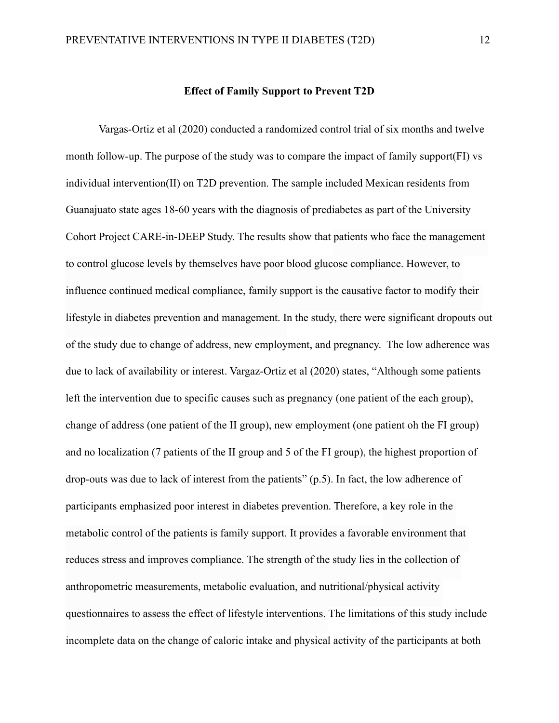Vargas-Ortiz et al (2020) conducted a randomized control trial of six months and twelve month follow-up. The purpose of the study was to compare the impact of family support(FI) vs individual intervention(II) on T2D prevention. The sample included Mexican residents from Guanajuato state ages 18-60 years with the diagnosis of prediabetes as part of the University Cohort Project CARE-in-DEEP Study. The results show that patients who face the management to control glucose levels by themselves have poor blood glucose compliance. However, to influence continued medical compliance, family support is the causative factor to modify their lifestyle in diabetes prevention and management. In the study, there were significant dropouts out of the study due to change of address, new employment, and pregnancy. The low adherence was due to lack of availability or interest. Vargaz-Ortiz et al (2020) states, "Although some patients left the intervention due to specific causes such as pregnancy (one patient of the each group), change of address (one patient of the II group), new employment (one patient oh the FI group) and no localization (7 patients of the II group and 5 of the FI group), the highest proportion of drop-outs was due to lack of interest from the patients" (p.5). In fact, the low adherence of participants emphasized poor interest in diabetes prevention. Therefore, a key role in the metabolic control of the patients is family support. It provides a favorable environment that reduces stress and improves compliance. The strength of the study lies in the collection of anthropometric measurements, metabolic evaluation, and nutritional/physical activity questionnaires to assess the effect of lifestyle interventions. The limitations of this study include incomplete data on the change of caloric intake and physical activity of the participants at both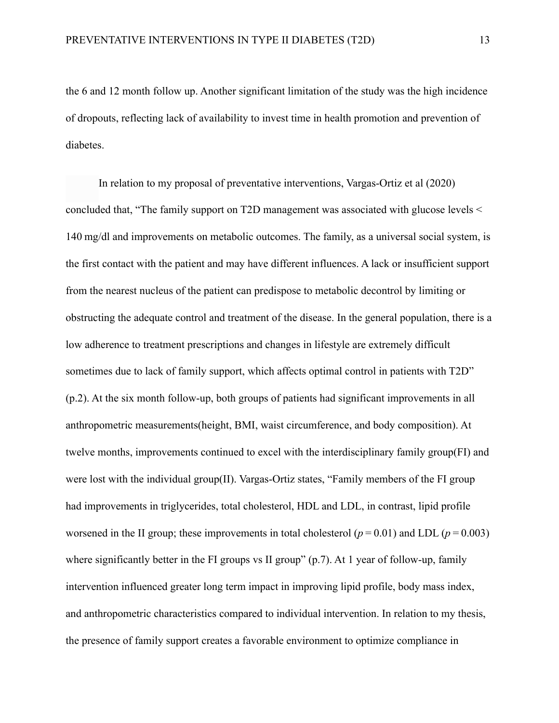the 6 and 12 month follow up. Another significant limitation of the study was the high incidence of dropouts, reflecting lack of availability to invest time in health promotion and prevention of diabetes.

In relation to my proposal of preventative interventions, Vargas-Ortiz et al (2020) concluded that, "The family support on T2D management was associated with glucose levels < 140 mg/dl and improvements on metabolic outcomes. The family, as a universal social system, is the first contact with the patient and may have different influences. A lack or insufficient support from the nearest nucleus of the patient can predispose to metabolic decontrol by limiting or obstructing the adequate control and treatment of the disease. In the general population, there is a low adherence to treatment prescriptions and changes in lifestyle are extremely difficult sometimes due to lack of family support, which affects optimal control in patients with T2D" (p.2). At the six month follow-up, both groups of patients had significant improvements in all anthropometric measurements(height, BMI, waist circumference, and body composition). At twelve months, improvements continued to excel with the interdisciplinary family group(FI) and were lost with the individual group(II). Vargas-Ortiz states, "Family members of the FI group had improvements in triglycerides, total cholesterol, HDL and LDL, in contrast, lipid profile worsened in the II group; these improvements in total cholesterol  $(p = 0.01)$  and LDL  $(p = 0.003)$ where significantly better in the FI groups vs II group" (p.7). At 1 year of follow-up, family intervention influenced greater long term impact in improving lipid profile, body mass index, and anthropometric characteristics compared to individual intervention. In relation to my thesis, the presence of family support creates a favorable environment to optimize compliance in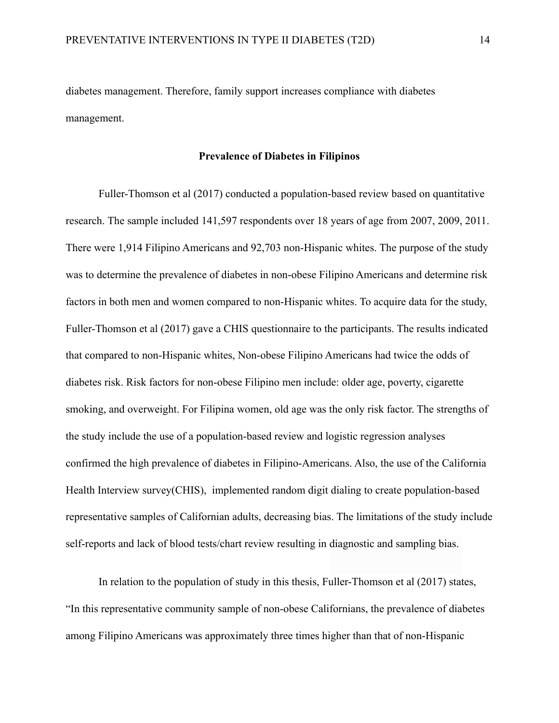diabetes management. Therefore, family support increases compliance with diabetes management.

## **Prevalence of Diabetes in Filipinos**

Fuller-Thomson et al (2017) conducted a population-based review based on quantitative research. The sample included 141,597 respondents over 18 years of age from 2007, 2009, 2011. There were 1,914 Filipino Americans and 92,703 non-Hispanic whites. The purpose of the study was to determine the prevalence of diabetes in non-obese Filipino Americans and determine risk factors in both men and women compared to non-Hispanic whites. To acquire data for the study, Fuller-Thomson et al (2017) gave a CHIS questionnaire to the participants. The results indicated that compared to non-Hispanic whites, Non-obese Filipino Americans had twice the odds of diabetes risk. Risk factors for non-obese Filipino men include: older age, poverty, cigarette smoking, and overweight. For Filipina women, old age was the only risk factor. The strengths of the study include the use of a population-based review and logistic regression analyses confirmed the high prevalence of diabetes in Filipino-Americans. Also, the use of the California Health Interview survey(CHIS), implemented random digit dialing to create population-based representative samples of Californian adults, decreasing bias. The limitations of the study include self-reports and lack of blood tests/chart review resulting in diagnostic and sampling bias.

In relation to the population of study in this thesis, Fuller-Thomson et al (2017) states, "In this representative community sample of non-obese Californians, the prevalence of diabetes among Filipino Americans was approximately three times higher than that of non-Hispanic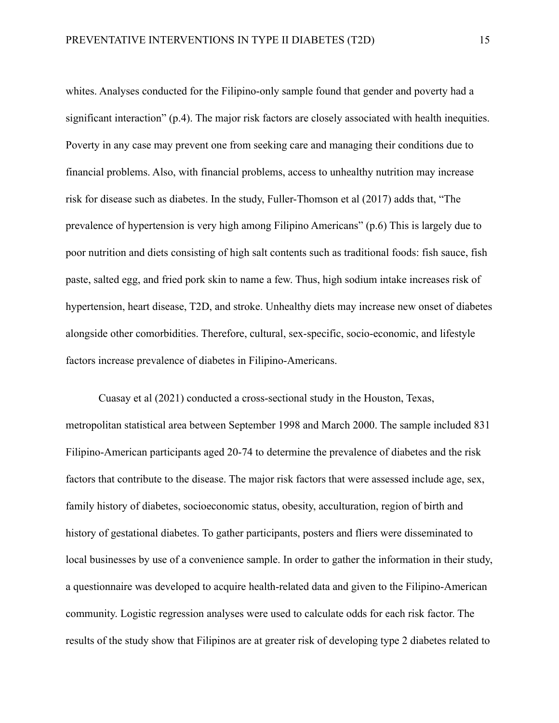whites. Analyses conducted for the Filipino-only sample found that gender and poverty had a significant interaction" (p.4). The major risk factors are closely associated with health inequities. Poverty in any case may prevent one from seeking care and managing their conditions due to financial problems. Also, with financial problems, access to unhealthy nutrition may increase risk for disease such as diabetes. In the study, Fuller-Thomson et al (2017) adds that, "The prevalence of hypertension is very high among Filipino Americans" (p.6) This is largely due to poor nutrition and diets consisting of high salt contents such as traditional foods: fish sauce, fish paste, salted egg, and fried pork skin to name a few. Thus, high sodium intake increases risk of hypertension, heart disease, T2D, and stroke. Unhealthy diets may increase new onset of diabetes alongside other comorbidities. Therefore, cultural, sex-specific, socio-economic, and lifestyle factors increase prevalence of diabetes in Filipino-Americans.

Cuasay et al (2021) conducted a cross-sectional study in the Houston, Texas, metropolitan statistical area between September 1998 and March 2000. The sample included 831 Filipino-American participants aged 20-74 to determine the prevalence of diabetes and the risk factors that contribute to the disease. The major risk factors that were assessed include age, sex, family history of diabetes, socioeconomic status, obesity, acculturation, region of birth and history of gestational diabetes. To gather participants, posters and fliers were disseminated to local businesses by use of a convenience sample. In order to gather the information in their study, a questionnaire was developed to acquire health-related data and given to the Filipino-American community. Logistic regression analyses were used to calculate odds for each risk factor. The results of the study show that Filipinos are at greater risk of developing type 2 diabetes related to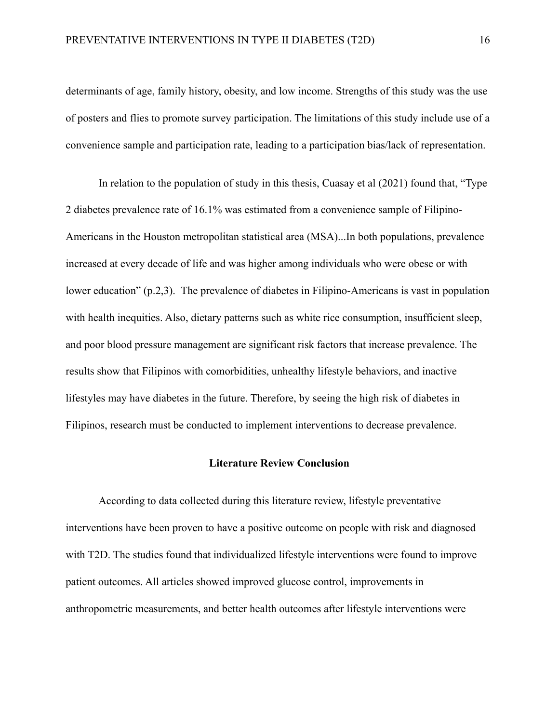determinants of age, family history, obesity, and low income. Strengths of this study was the use of posters and flies to promote survey participation. The limitations of this study include use of a convenience sample and participation rate, leading to a participation bias/lack of representation.

In relation to the population of study in this thesis, Cuasay et al (2021) found that, "Type 2 diabetes prevalence rate of 16.1% was estimated from a convenience sample of Filipino-Americans in the Houston metropolitan statistical area (MSA)...In both populations, prevalence increased at every decade of life and was higher among individuals who were obese or with lower education" (p.2,3). The prevalence of diabetes in Filipino-Americans is vast in population with health inequities. Also, dietary patterns such as white rice consumption, insufficient sleep, and poor blood pressure management are significant risk factors that increase prevalence. The results show that Filipinos with comorbidities, unhealthy lifestyle behaviors, and inactive lifestyles may have diabetes in the future. Therefore, by seeing the high risk of diabetes in Filipinos, research must be conducted to implement interventions to decrease prevalence.

#### **Literature Review Conclusion**

According to data collected during this literature review, lifestyle preventative interventions have been proven to have a positive outcome on people with risk and diagnosed with T2D. The studies found that individualized lifestyle interventions were found to improve patient outcomes. All articles showed improved glucose control, improvements in anthropometric measurements, and better health outcomes after lifestyle interventions were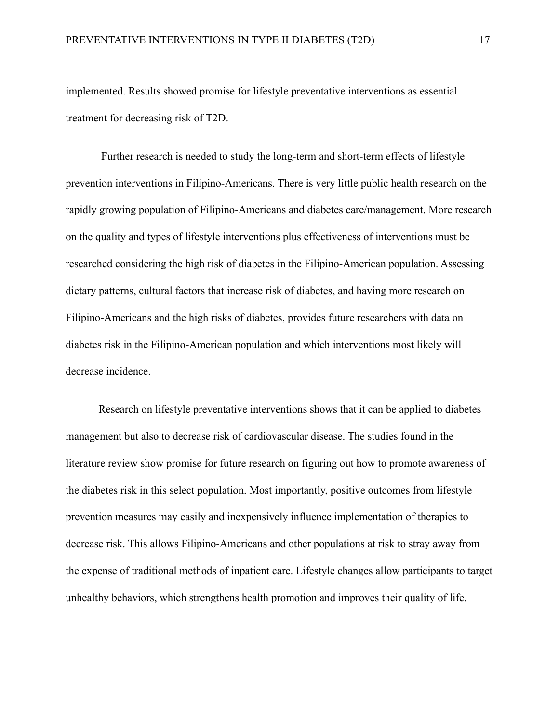implemented. Results showed promise for lifestyle preventative interventions as essential treatment for decreasing risk of T2D.

 Further research is needed to study the long-term and short-term effects of lifestyle prevention interventions in Filipino-Americans. There is very little public health research on the rapidly growing population of Filipino-Americans and diabetes care/management. More research on the quality and types of lifestyle interventions plus effectiveness of interventions must be researched considering the high risk of diabetes in the Filipino-American population. Assessing dietary patterns, cultural factors that increase risk of diabetes, and having more research on Filipino-Americans and the high risks of diabetes, provides future researchers with data on diabetes risk in the Filipino-American population and which interventions most likely will decrease incidence.

Research on lifestyle preventative interventions shows that it can be applied to diabetes management but also to decrease risk of cardiovascular disease. The studies found in the literature review show promise for future research on figuring out how to promote awareness of the diabetes risk in this select population. Most importantly, positive outcomes from lifestyle prevention measures may easily and inexpensively influence implementation of therapies to decrease risk. This allows Filipino-Americans and other populations at risk to stray away from the expense of traditional methods of inpatient care. Lifestyle changes allow participants to target unhealthy behaviors, which strengthens health promotion and improves their quality of life.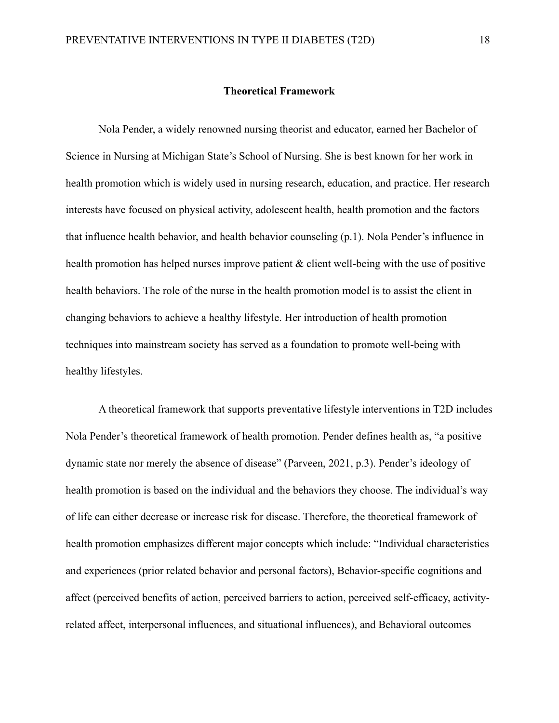#### **Theoretical Framework**

Nola Pender, a widely renowned nursing theorist and educator, earned her Bachelor of Science in Nursing at Michigan State's School of Nursing. She is best known for her work in health promotion which is widely used in nursing research, education, and practice. Her research interests have focused on physical activity, adolescent health, health promotion and the factors that influence health behavior, and health behavior counseling (p.1). Nola Pender's influence in health promotion has helped nurses improve patient & client well-being with the use of positive health behaviors. The role of the nurse in the health promotion model is to assist the client in changing behaviors to achieve a healthy lifestyle. Her introduction of health promotion techniques into mainstream society has served as a foundation to promote well-being with healthy lifestyles.

A theoretical framework that supports preventative lifestyle interventions in T2D includes Nola Pender's theoretical framework of health promotion. Pender defines health as, "a positive dynamic state nor merely the absence of disease" (Parveen, 2021, p.3). Pender's ideology of health promotion is based on the individual and the behaviors they choose. The individual's way of life can either decrease or increase risk for disease. Therefore, the theoretical framework of health promotion emphasizes different major concepts which include: "Individual characteristics and experiences (prior related behavior and personal factors), Behavior-specific cognitions and affect (perceived benefits of action, perceived barriers to action, perceived self-efficacy, activityrelated affect, interpersonal influences, and situational influences), and Behavioral outcomes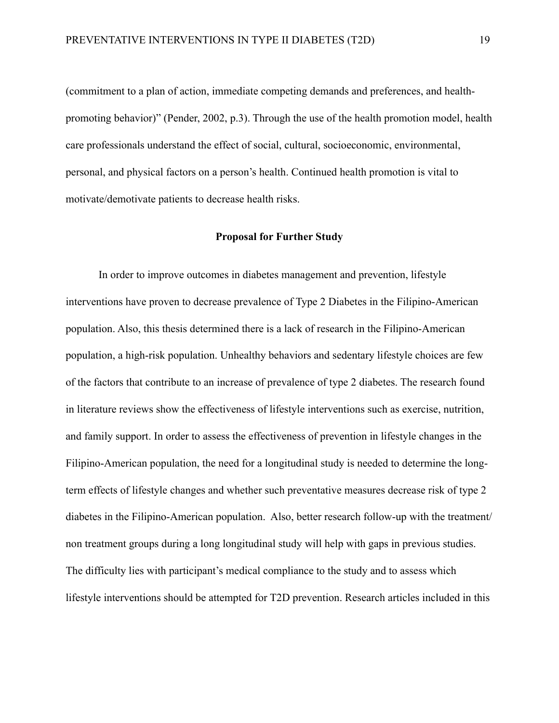(commitment to a plan of action, immediate competing demands and preferences, and healthpromoting behavior)" (Pender, 2002, p.3). Through the use of the health promotion model, health care professionals understand the effect of social, cultural, socioeconomic, environmental, personal, and physical factors on a person's health. Continued health promotion is vital to motivate/demotivate patients to decrease health risks.

#### **Proposal for Further Study**

In order to improve outcomes in diabetes management and prevention, lifestyle interventions have proven to decrease prevalence of Type 2 Diabetes in the Filipino-American population. Also, this thesis determined there is a lack of research in the Filipino-American population, a high-risk population. Unhealthy behaviors and sedentary lifestyle choices are few of the factors that contribute to an increase of prevalence of type 2 diabetes. The research found in literature reviews show the effectiveness of lifestyle interventions such as exercise, nutrition, and family support. In order to assess the effectiveness of prevention in lifestyle changes in the Filipino-American population, the need for a longitudinal study is needed to determine the longterm effects of lifestyle changes and whether such preventative measures decrease risk of type 2 diabetes in the Filipino-American population. Also, better research follow-up with the treatment/ non treatment groups during a long longitudinal study will help with gaps in previous studies. The difficulty lies with participant's medical compliance to the study and to assess which lifestyle interventions should be attempted for T2D prevention. Research articles included in this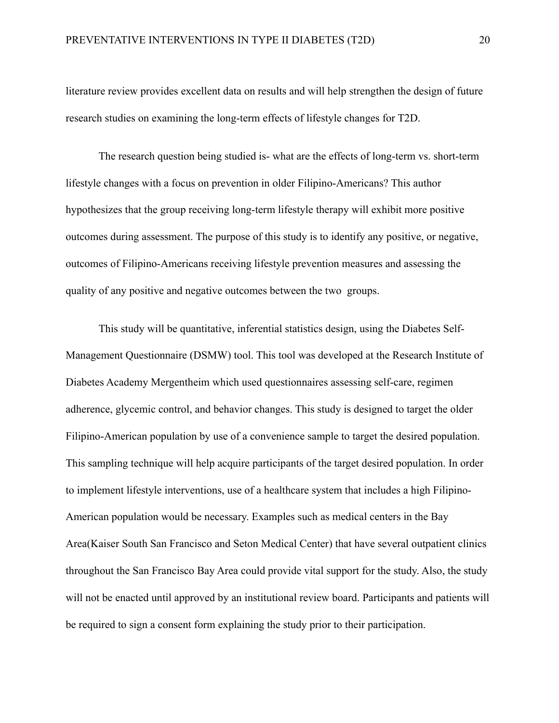literature review provides excellent data on results and will help strengthen the design of future research studies on examining the long-term effects of lifestyle changes for T2D.

The research question being studied is- what are the effects of long-term vs. short-term lifestyle changes with a focus on prevention in older Filipino-Americans? This author hypothesizes that the group receiving long-term lifestyle therapy will exhibit more positive outcomes during assessment. The purpose of this study is to identify any positive, or negative, outcomes of Filipino-Americans receiving lifestyle prevention measures and assessing the quality of any positive and negative outcomes between the two groups.

This study will be quantitative, inferential statistics design, using the Diabetes Self-Management Questionnaire (DSMW) tool. This tool was developed at the Research Institute of Diabetes Academy Mergentheim which used questionnaires assessing self-care, regimen adherence, glycemic control, and behavior changes. This study is designed to target the older Filipino-American population by use of a convenience sample to target the desired population. This sampling technique will help acquire participants of the target desired population. In order to implement lifestyle interventions, use of a healthcare system that includes a high Filipino-American population would be necessary. Examples such as medical centers in the Bay Area(Kaiser South San Francisco and Seton Medical Center) that have several outpatient clinics throughout the San Francisco Bay Area could provide vital support for the study. Also, the study will not be enacted until approved by an institutional review board. Participants and patients will be required to sign a consent form explaining the study prior to their participation.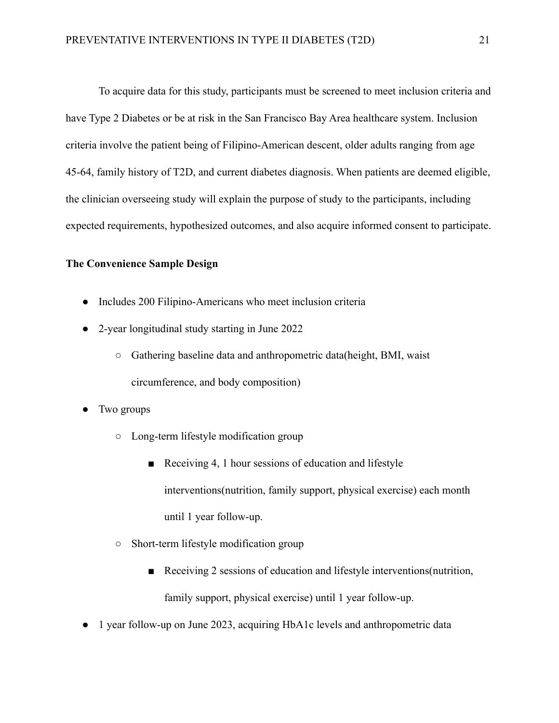To acquire data for this study, participants must be screened to meet inclusion criteria and have Type 2 Diabetes or be at risk in the San Francisco Bay Area healthcare system. Inclusion criteria involve the patient being of Filipino-American descent, older adults ranging from age 45-64, family history of T2D, and current diabetes diagnosis. When patients are deemed eligible, the clinician overseeing study will explain the purpose of study to the participants, including expected requirements, hypothesized outcomes, and also acquire informed consent to participate.

## **The Convenience Sample Design**

- Includes 200 Filipino-Americans who meet inclusion criteria
- 2-year longitudinal study starting in June 2022
	- Gathering baseline data and anthropometric data(height, BMI, waist circumference, and body composition)
- Two groups
	- Long-term lifestyle modification group
		- Receiving 4, 1 hour sessions of education and lifestyle interventions(nutrition, family support, physical exercise) each month until 1 year follow-up.
	- Short-term lifestyle modification group
		- Receiving 2 sessions of education and lifestyle interventions (nutrition, family support, physical exercise) until 1 year follow-up.
- 1 year follow-up on June 2023, acquiring HbA1c levels and anthropometric data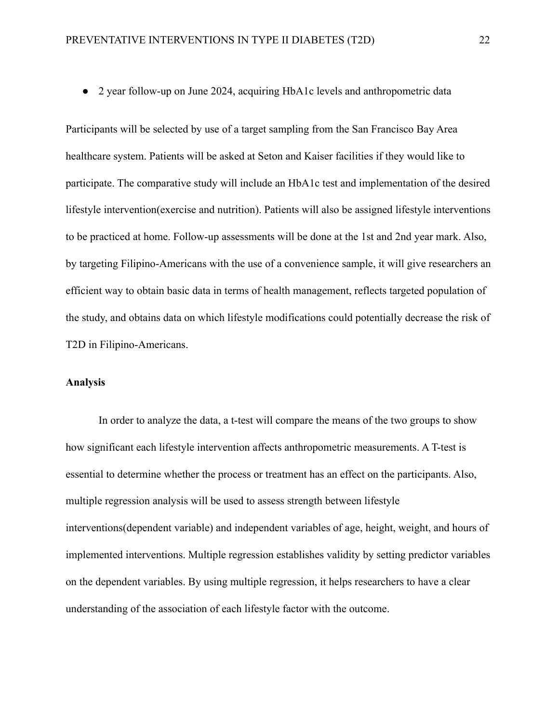● 2 year follow-up on June 2024, acquiring HbA1c levels and anthropometric data

Participants will be selected by use of a target sampling from the San Francisco Bay Area healthcare system. Patients will be asked at Seton and Kaiser facilities if they would like to participate. The comparative study will include an HbA1c test and implementation of the desired lifestyle intervention(exercise and nutrition). Patients will also be assigned lifestyle interventions to be practiced at home. Follow-up assessments will be done at the 1st and 2nd year mark. Also, by targeting Filipino-Americans with the use of a convenience sample, it will give researchers an efficient way to obtain basic data in terms of health management, reflects targeted population of the study, and obtains data on which lifestyle modifications could potentially decrease the risk of T2D in Filipino-Americans.

# **Analysis**

In order to analyze the data, a t-test will compare the means of the two groups to show how significant each lifestyle intervention affects anthropometric measurements. A T-test is essential to determine whether the process or treatment has an effect on the participants. Also, multiple regression analysis will be used to assess strength between lifestyle interventions(dependent variable) and independent variables of age, height, weight, and hours of implemented interventions. Multiple regression establishes validity by setting predictor variables on the dependent variables. By using multiple regression, it helps researchers to have a clear understanding of the association of each lifestyle factor with the outcome.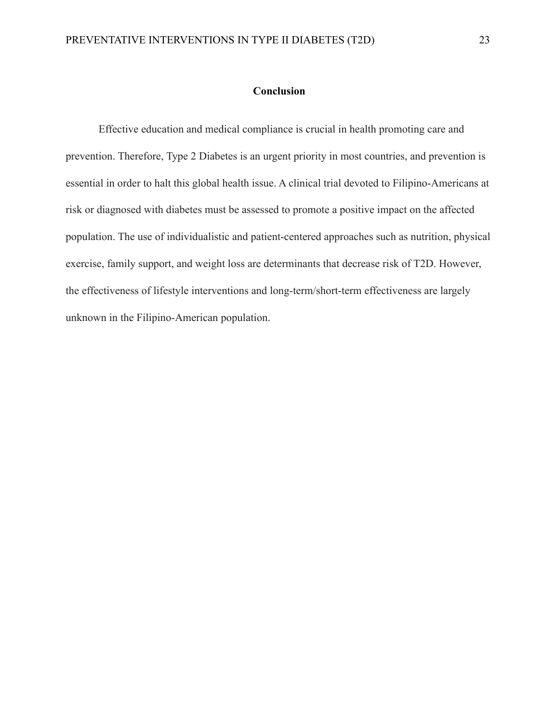# **Conclusion**

Effective education and medical compliance is crucial in health promoting care and prevention. Therefore, Type 2 Diabetes is an urgent priority in most countries, and prevention is essential in order to halt this global health issue. A clinical trial devoted to Filipino-Americans at risk or diagnosed with diabetes must be assessed to promote a positive impact on the affected population. The use of individualistic and patient-centered approaches such as nutrition, physical exercise, family support, and weight loss are determinants that decrease risk of T2D. However, the effectiveness of lifestyle interventions and long-term/short-term effectiveness are largely unknown in the Filipino-American population.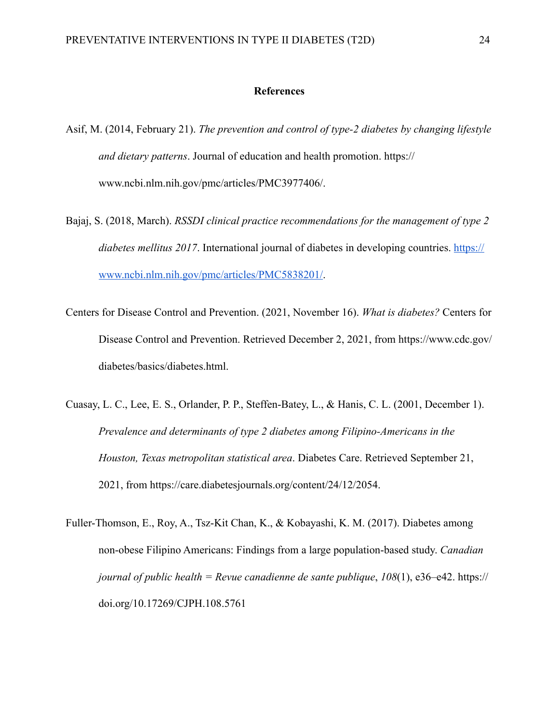#### **References**

- Asif, M. (2014, February 21). *The prevention and control of type-2 diabetes by changing lifestyle and dietary patterns*. Journal of education and health promotion. https:// www.ncbi.nlm.nih.gov/pmc/articles/PMC3977406/.
- Bajaj, S. (2018, March). *RSSDI clinical practice recommendations for the management of type 2 diabetes mellitus 2017*. International journal of diabetes in developing countries. [https://](https://www.ncbi.nlm.nih.gov/pmc/articles/PMC5838201/) [www.ncbi.nlm.nih.gov/pmc/articles/PMC5838201/.](https://www.ncbi.nlm.nih.gov/pmc/articles/PMC5838201/)
- Centers for Disease Control and Prevention. (2021, November 16). *What is diabetes?* Centers for Disease Control and Prevention. Retrieved December 2, 2021, from https://www.cdc.gov/ diabetes/basics/diabetes.html.
- Cuasay, L. C., Lee, E. S., Orlander, P. P., Steffen-Batey, L., & Hanis, C. L. (2001, December 1). *Prevalence and determinants of type 2 diabetes among Filipino-Americans in the Houston, Texas metropolitan statistical area*. Diabetes Care. Retrieved September 21, 2021, from https://care.diabetesjournals.org/content/24/12/2054.
- Fuller-Thomson, E., Roy, A., Tsz-Kit Chan, K., & Kobayashi, K. M. (2017). Diabetes among non-obese Filipino Americans: Findings from a large population-based study. *Canadian journal of public health = Revue canadienne de sante publique*, *108*(1), e36–e42. https:// doi.org/10.17269/CJPH.108.5761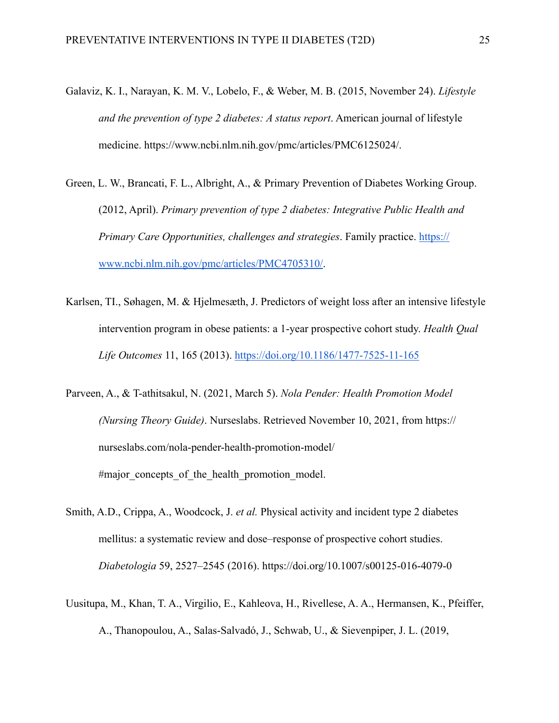- Galaviz, K. I., Narayan, K. M. V., Lobelo, F., & Weber, M. B. (2015, November 24). *Lifestyle and the prevention of type 2 diabetes: A status report*. American journal of lifestyle medicine. https://www.ncbi.nlm.nih.gov/pmc/articles/PMC6125024/.
- Green, L. W., Brancati, F. L., Albright, A., & Primary Prevention of Diabetes Working Group. (2012, April). *Primary prevention of type 2 diabetes: Integrative Public Health and Primary Care Opportunities, challenges and strategies*. Family practice. [https://](https://www.ncbi.nlm.nih.gov/pmc/articles/PMC4705310/) [www.ncbi.nlm.nih.gov/pmc/articles/PMC4705310/.](https://www.ncbi.nlm.nih.gov/pmc/articles/PMC4705310/)
- Karlsen, TI., Søhagen, M. & Hjelmesæth, J. Predictors of weight loss after an intensive lifestyle intervention program in obese patients: a 1-year prospective cohort study. *Health Qual Life Outcomes* 11, 165 (2013).<https://doi.org/10.1186/1477-7525-11-165>
- Parveen, A., & T-athitsakul, N. (2021, March 5). *Nola Pender: Health Promotion Model (Nursing Theory Guide)*. Nurseslabs. Retrieved November 10, 2021, from https:// nurseslabs.com/nola-pender-health-promotion-model/ #major concepts of the health promotion model.
- Smith, A.D., Crippa, A., Woodcock, J. *et al.* Physical activity and incident type 2 diabetes mellitus: a systematic review and dose–response of prospective cohort studies. *Diabetologia* 59, 2527–2545 (2016). https://doi.org/10.1007/s00125-016-4079-0
- Uusitupa, M., Khan, T. A., Virgilio, E., Kahleova, H., Rivellese, A. A., Hermansen, K., Pfeiffer, A., Thanopoulou, A., Salas-Salvadó, J., Schwab, U., & Sievenpiper, J. L. (2019,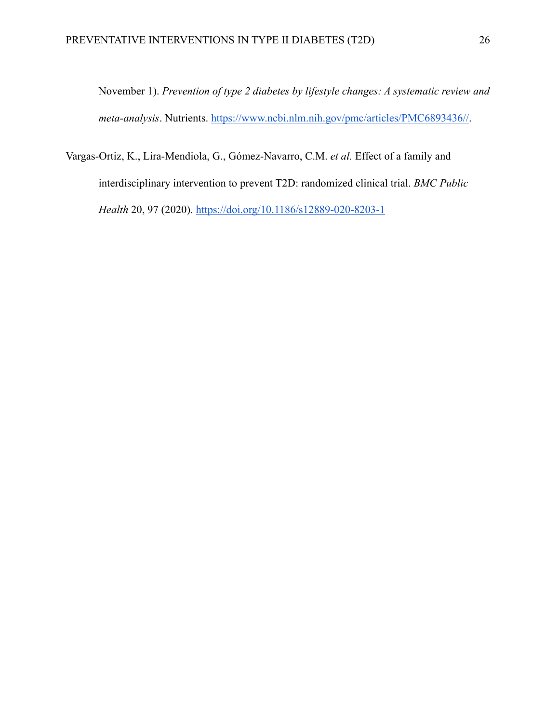November 1). *Prevention of type 2 diabetes by lifestyle changes: A systematic review and meta-analysis*. Nutrients. [https://www.ncbi.nlm.nih.gov/pmc/articles/PMC6893436//.](https://www.ncbi.nlm.nih.gov/pmc/articles/PMC6893436//)

Vargas-Ortiz, K., Lira-Mendiola, G., Gómez-Navarro, C.M. *et al.* Effect of a family and interdisciplinary intervention to prevent T2D: randomized clinical trial. *BMC Public Health* 20, 97 (2020). <https://doi.org/10.1186/s12889-020-8203-1>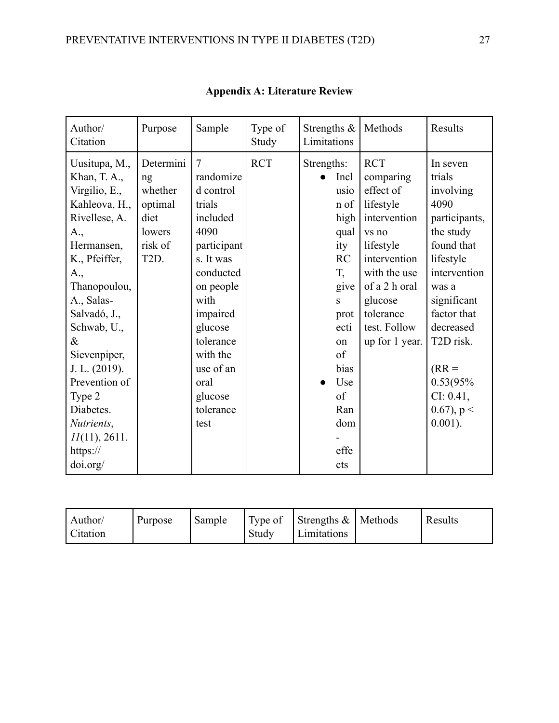| Author/<br>Citation                                                                                                                                                                                                                                                                                                       | Purpose                                                                                 | Sample                                                                                                                                                                                                                                    | Type of<br>Study | Strengths $\&$<br>Limitations                                                                                                                                    | Methods                                                                                                                                                                                            | Results                                                                                                                                                                                                                                               |
|---------------------------------------------------------------------------------------------------------------------------------------------------------------------------------------------------------------------------------------------------------------------------------------------------------------------------|-----------------------------------------------------------------------------------------|-------------------------------------------------------------------------------------------------------------------------------------------------------------------------------------------------------------------------------------------|------------------|------------------------------------------------------------------------------------------------------------------------------------------------------------------|----------------------------------------------------------------------------------------------------------------------------------------------------------------------------------------------------|-------------------------------------------------------------------------------------------------------------------------------------------------------------------------------------------------------------------------------------------------------|
| Uusitupa, M.,<br>Khan, T. A.,<br>Virgilio, E.,<br>Kahleova, H.,<br>Rivellese, A.<br>A.,<br>Hermansen,<br>K., Pfeiffer,<br>A.,<br>Thanopoulou,<br>A., Salas-<br>Salvadó, J.,<br>Schwab, U.,<br>$\&$<br>Sievenpiper,<br>J. L. (2019).<br>Prevention of<br>Type 2<br>Diabetes.<br>Nutrients,<br>$11(11)$ , 2611.<br>https:// | Determini<br>ng<br>whether<br>optimal<br>diet<br>lowers<br>risk of<br>T <sub>2</sub> D. | $\overline{7}$<br>randomize<br>d control<br>trials<br>included<br>4090<br>participant<br>s. It was<br>conducted<br>on people<br>with<br>impaired<br>glucose<br>tolerance<br>with the<br>use of an<br>oral<br>glucose<br>tolerance<br>test | <b>RCT</b>       | Strengths:<br>Incl<br>usio<br>n of<br>high<br>qual<br>ity<br><b>RC</b><br>T,<br>give<br>S<br>prot<br>ecti<br>on<br>of<br>bias<br>Use<br>of<br>Ran<br>dom<br>effe | <b>RCT</b><br>comparing<br>effect of<br>lifestyle<br>intervention<br>vs no<br>lifestyle<br>intervention<br>with the use<br>of a 2 h oral<br>glucose<br>tolerance<br>test. Follow<br>up for 1 year. | In seven<br>trials<br>involving<br>4090<br>participants,<br>the study<br>found that<br>lifestyle<br>intervention<br>was a<br>significant<br>factor that<br>decreased<br>T2D risk.<br>$(RR =$<br>0.53(95%<br>CI: 0.41,<br>$(0.67)$ , p <<br>$0.001$ ). |
| doi.org/                                                                                                                                                                                                                                                                                                                  |                                                                                         |                                                                                                                                                                                                                                           |                  | cts                                                                                                                                                              |                                                                                                                                                                                                    |                                                                                                                                                                                                                                                       |

| <b>Appendix A: Literature Review</b> |  |  |
|--------------------------------------|--|--|
|--------------------------------------|--|--|

| Author/<br>Purpose<br><b>Citation</b> | Sample<br>Study | Type of Strengths $\&$ Methods<br>Limitations |  | Results |
|---------------------------------------|-----------------|-----------------------------------------------|--|---------|
|---------------------------------------|-----------------|-----------------------------------------------|--|---------|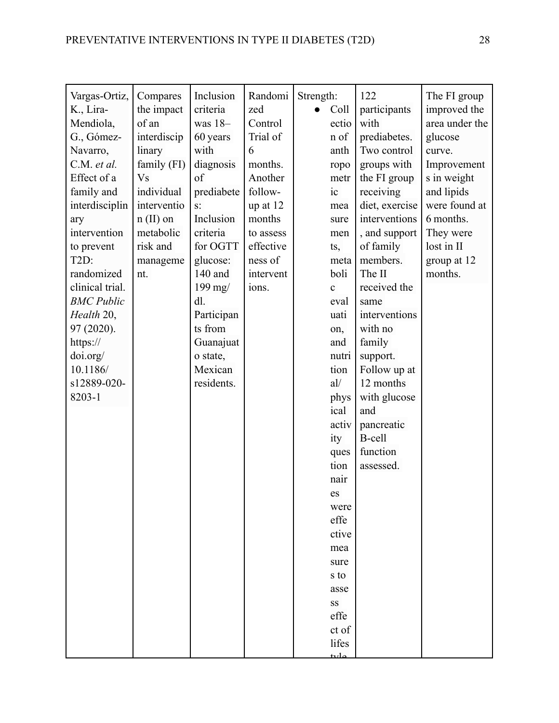| of an<br>was $18-$<br>60 years<br>with<br>diagnosis<br>of<br>prediabete<br>$S^{\dagger}$<br>Inclusion<br>criteria<br>for OGTT<br>glucose:<br>140 and<br>199 mg/<br>dl.<br>Participan<br>ts from<br>Guanajuat<br>o state,<br>Mexican<br>residents. | interdiscip<br>linary<br>family (FI)<br>V <sub>S</sub><br>individual<br>interdisciplin<br>interventio<br>$n$ (II) on<br>metabolic<br>risk and<br>manageme<br>nt. | Control<br>Trial of<br>6<br>months.<br>Another<br>follow-<br>up at 12<br>months<br>to assess<br>effective<br>ness of<br>intervent<br>ions. | ectio<br>n of<br>anth<br>ropo<br>metr<br>ic<br>mea<br>sure<br>men<br>ts,<br>meta<br>boli<br>$\mathbf c$<br>eval<br>uati<br>on,<br>and<br>nutri<br>tion<br>al/<br>phys<br>ical<br>activ<br>ity<br>ques<br>tion<br>nair<br>es<br>were<br>effe<br>ctive<br>mea<br>sure<br>s to<br>asse<br>SS | with<br>prediabetes.<br>Two control<br>groups with<br>the FI group<br>receiving<br>diet, exercise<br>interventions<br>, and support<br>of family<br>members.<br>The II<br>received the<br>same<br>interventions<br>with no<br>family<br>support.<br>Follow up at<br>12 months<br>with glucose<br>and<br>pancreatic<br>B-cell<br>function<br>assessed. | area under the<br>glucose<br>curve.<br>Improvement<br>s in weight<br>and lipids<br>were found at<br>6 months.<br>They were<br>lost in II<br>group at 12<br>months. |
|---------------------------------------------------------------------------------------------------------------------------------------------------------------------------------------------------------------------------------------------------|------------------------------------------------------------------------------------------------------------------------------------------------------------------|--------------------------------------------------------------------------------------------------------------------------------------------|-------------------------------------------------------------------------------------------------------------------------------------------------------------------------------------------------------------------------------------------------------------------------------------------|-------------------------------------------------------------------------------------------------------------------------------------------------------------------------------------------------------------------------------------------------------------------------------------------------------------------------------------------------------|--------------------------------------------------------------------------------------------------------------------------------------------------------------------|
|                                                                                                                                                                                                                                                   |                                                                                                                                                                  |                                                                                                                                            | effe<br>ct of<br>lifes                                                                                                                                                                                                                                                                    |                                                                                                                                                                                                                                                                                                                                                       |                                                                                                                                                                    |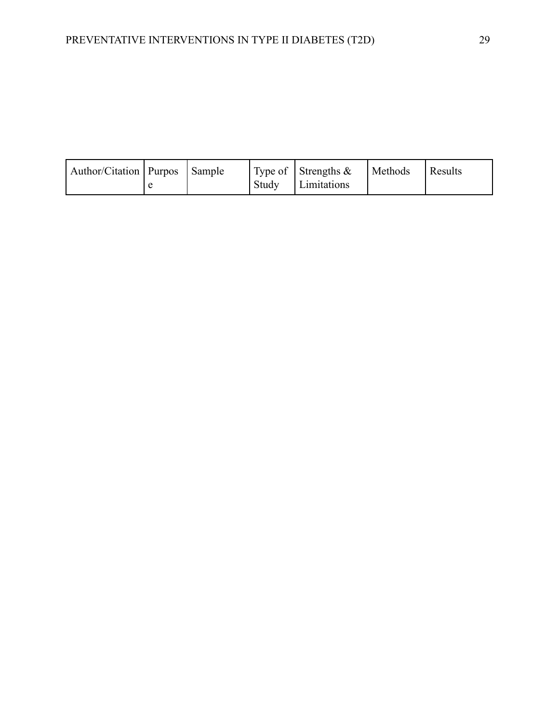| Author/Citation   Purpos   Sample |  | Type of Strengths $\&$ | Methods | Results |
|-----------------------------------|--|------------------------|---------|---------|
|                                   |  | Study Limitations      |         |         |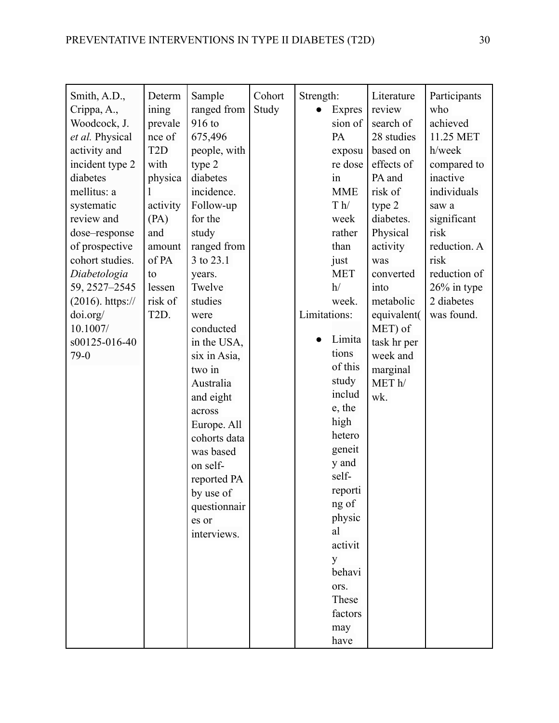| Smith, A.D.,<br>Crippa, A.,<br>Woodcock, J.<br>et al. Physical<br>activity and<br>incident type 2<br>diabetes<br>mellitus: a<br>systematic<br>review and<br>dose-response<br>of prospective<br>cohort studies.<br>Diabetologia<br>59, 2527-2545<br>$(2016)$ . https://<br>doi.org/<br>10.1007/<br>s00125-016-40<br>$79-0$ | Determ<br>ining<br>prevale<br>nce of<br>T <sub>2</sub> D<br>with<br>physica<br>activity<br>(PA)<br>and<br>amount<br>of PA<br>to<br>lessen<br>risk of<br>T <sub>2</sub> D. | Sample<br>ranged from<br>916 to<br>675,496<br>people, with<br>type 2<br>diabetes<br>incidence.<br>Follow-up<br>for the<br>study<br>ranged from<br>3 to 23.1<br>years.<br>Twelve<br>studies<br>were<br>conducted<br>in the USA,<br>six in Asia,<br>two in<br>Australia<br>and eight<br>across<br>Europe. All<br>cohorts data<br>was based<br>on self-<br>reported PA<br>by use of<br>questionnair<br>es or<br>interviews. | Cohort<br>Study | Strength:<br>Limitations: | <b>Expres</b><br>sion of<br>PA<br>exposu<br>re dose<br>$\sin$<br><b>MME</b><br>T h/<br>week<br>rather<br>than<br>just<br><b>MET</b><br>h/<br>week.<br>Limita<br>tions<br>of this<br>study<br>includ<br>e, the<br>high<br>hetero<br>geneit<br>y and<br>self-<br>reporti<br>ng of<br>physic<br>al<br>activit<br>y<br>behavi<br>ors.<br>These<br>factors<br>may | Literature<br>review<br>search of<br>28 studies<br>based on<br>effects of<br>PA and<br>risk of<br>type 2<br>diabetes.<br>Physical<br>activity<br>was<br>converted<br>into<br>metabolic<br>equivalent(<br>MET) of<br>task hr per<br>week and<br>marginal<br>MET <sub>h</sub> /<br>wk. | Participants<br>who<br>achieved<br>11.25 MET<br>h/week<br>compared to<br>inactive<br>individuals<br>saw a<br>significant<br>risk<br>reduction. A<br>risk<br>reduction of<br>26% in type<br>2 diabetes<br>was found. |
|---------------------------------------------------------------------------------------------------------------------------------------------------------------------------------------------------------------------------------------------------------------------------------------------------------------------------|---------------------------------------------------------------------------------------------------------------------------------------------------------------------------|--------------------------------------------------------------------------------------------------------------------------------------------------------------------------------------------------------------------------------------------------------------------------------------------------------------------------------------------------------------------------------------------------------------------------|-----------------|---------------------------|--------------------------------------------------------------------------------------------------------------------------------------------------------------------------------------------------------------------------------------------------------------------------------------------------------------------------------------------------------------|--------------------------------------------------------------------------------------------------------------------------------------------------------------------------------------------------------------------------------------------------------------------------------------|---------------------------------------------------------------------------------------------------------------------------------------------------------------------------------------------------------------------|
|                                                                                                                                                                                                                                                                                                                           |                                                                                                                                                                           |                                                                                                                                                                                                                                                                                                                                                                                                                          |                 |                           | have                                                                                                                                                                                                                                                                                                                                                         |                                                                                                                                                                                                                                                                                      |                                                                                                                                                                                                                     |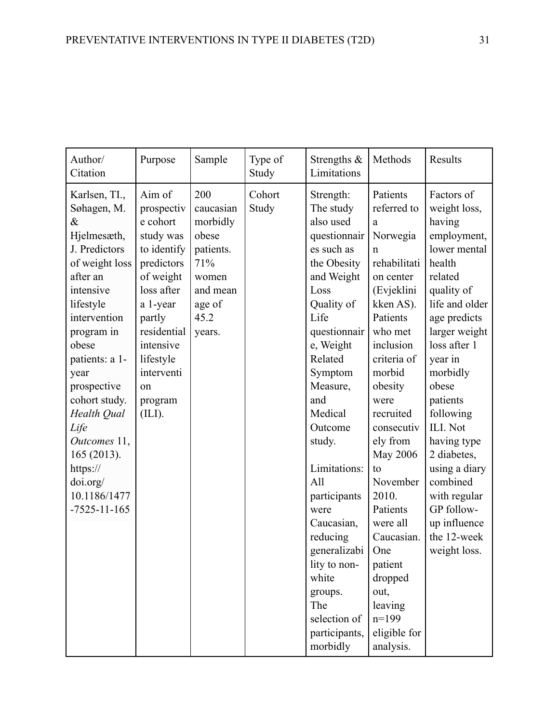| Author/<br>Citation                                                                                                                                                                                                                                                                                                                               | Purpose                                                                                                                                                                                                       | Sample                                                                                                     | Type of<br>Study | Strengths &<br>Limitations                                                                                                                                                                                                                                                                                                                                                                                          | Methods                                                                                                                                                                                                                                                                                                                                                                                                      | Results                                                                                                                                                                                                                                                                                                                                                                                |
|---------------------------------------------------------------------------------------------------------------------------------------------------------------------------------------------------------------------------------------------------------------------------------------------------------------------------------------------------|---------------------------------------------------------------------------------------------------------------------------------------------------------------------------------------------------------------|------------------------------------------------------------------------------------------------------------|------------------|---------------------------------------------------------------------------------------------------------------------------------------------------------------------------------------------------------------------------------------------------------------------------------------------------------------------------------------------------------------------------------------------------------------------|--------------------------------------------------------------------------------------------------------------------------------------------------------------------------------------------------------------------------------------------------------------------------------------------------------------------------------------------------------------------------------------------------------------|----------------------------------------------------------------------------------------------------------------------------------------------------------------------------------------------------------------------------------------------------------------------------------------------------------------------------------------------------------------------------------------|
| Karlsen, TI.,<br>Søhagen, M.<br>$\&$<br>Hjelmesæth,<br>J. Predictors<br>of weight loss<br>after an<br>intensive<br>lifestyle<br>intervention<br>program in<br>obese<br>patients: a 1-<br>year<br>prospective<br>cohort study.<br>Health Qual<br>Life<br>Outcomes 11,<br>165 (2013).<br>https://<br>doi.org/<br>10.1186/1477<br>$-7525 - 11 - 165$ | Aim of<br>prospectiv<br>e cohort<br>study was<br>to identify<br>predictors<br>of weight<br>loss after<br>a 1-year<br>partly<br>residential<br>intensive<br>lifestyle<br>interventi<br>on<br>program<br>(ILI). | 200<br>caucasian<br>morbidly<br>obese<br>patients.<br>71%<br>women<br>and mean<br>age of<br>45.2<br>years. | Cohort<br>Study  | Strength:<br>The study<br>also used<br>questionnair<br>es such as<br>the Obesity<br>and Weight<br>Loss<br>Quality of<br>Life<br>questionnair<br>e, Weight<br>Related<br>Symptom<br>Measure,<br>and<br>Medical<br>Outcome<br>study.<br>Limitations:<br>All<br>participants<br>were<br>Caucasian,<br>reducing<br>generalizabi<br>lity to non-<br>white<br>groups.<br>The<br>selection of<br>participants,<br>morbidly | Patients<br>referred to<br>a<br>Norwegia<br>$\mathsf{n}$<br>rehabilitati<br>on center<br>(Evjeklini<br>kken AS).<br>Patients<br>who met<br>inclusion<br>criteria of<br>morbid<br>obesity<br>were<br>recruited<br>consecutiv<br>ely from<br>May 2006<br>to<br>November<br>2010.<br>Patients<br>were all<br>Caucasian.<br>One<br>patient<br>dropped<br>out,<br>leaving<br>$n=199$<br>eligible for<br>analysis. | Factors of<br>weight loss,<br>having<br>employment,<br>lower mental<br>health<br>related<br>quality of<br>life and older<br>age predicts<br>larger weight<br>loss after 1<br>year in<br>morbidly<br>obese<br>patients<br>following<br>ILI. Not<br>having type<br>2 diabetes,<br>using a diary<br>combined<br>with regular<br>GP follow-<br>up influence<br>the 12-week<br>weight loss. |

obese was a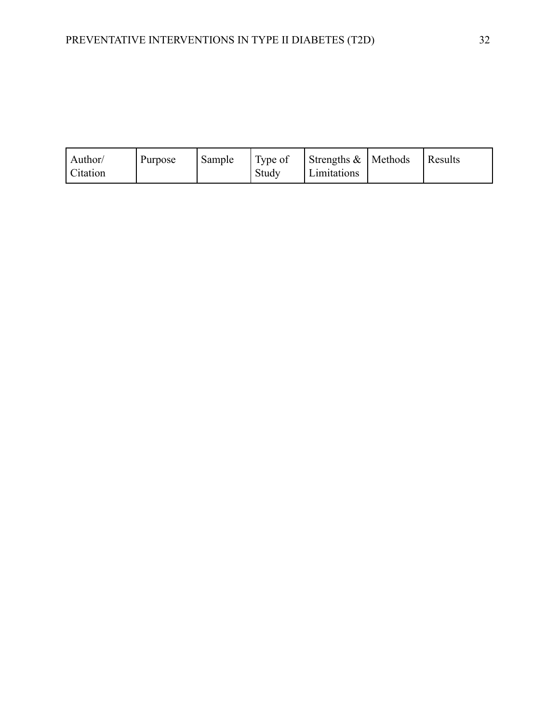| $\vert$ Type of $\vert$ Strengths & $\vert$ Methods<br>Results<br>Sample<br>Author/<br>Purpose<br>Citation<br>Study<br>Limitations |
|------------------------------------------------------------------------------------------------------------------------------------|
|------------------------------------------------------------------------------------------------------------------------------------|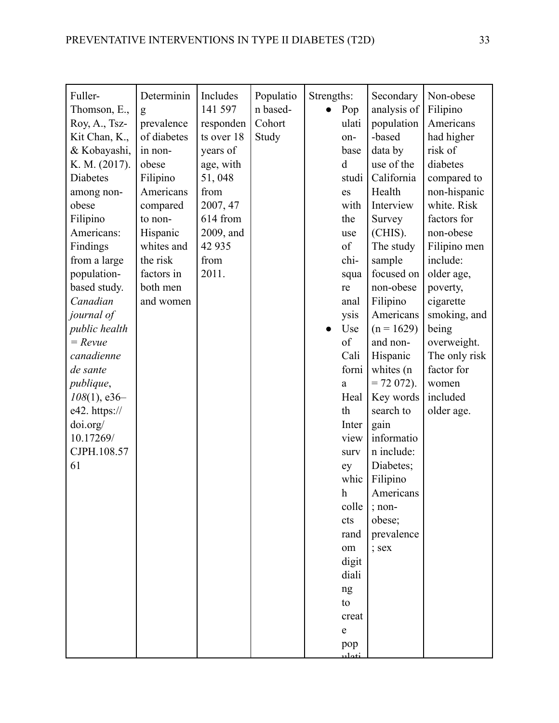| Fuller-             | Determinin  | Includes   | Populatio | Strengths: |                                                                                                    | Secondary     | Non-obese     |
|---------------------|-------------|------------|-----------|------------|----------------------------------------------------------------------------------------------------|---------------|---------------|
| Thomson, E.,        | g           | 141 597    | n based-  |            | Pop                                                                                                | analysis of   | Filipino      |
| Roy, A., Tsz-       | prevalence  | responden  | Cohort    |            | ulati                                                                                              | population    | Americans     |
| Kit Chan, K.,       | of diabetes | ts over 18 | Study     |            | on-                                                                                                | -based        | had higher    |
| & Kobayashi,        | in non-     | years of   |           |            | base                                                                                               | data by       | risk of       |
| K. M. (2017).       | obese       | age, with  |           |            | d                                                                                                  | use of the    | diabetes      |
| <b>Diabetes</b>     | Filipino    | 51,048     |           |            | studi                                                                                              | California    | compared to   |
| among non-          | Americans   | from       |           |            | es                                                                                                 | Health        | non-hispanic  |
| obese               | compared    | 2007, 47   |           |            | with                                                                                               | Interview     | white. Risk   |
| Filipino            | to non-     | 614 from   |           |            | the                                                                                                | Survey        | factors for   |
| Americans:          | Hispanic    | 2009, and  |           |            | use                                                                                                | (CHIS).       | non-obese     |
| Findings            | whites and  | 42 9 35    |           |            | $% \left( \left( \mathcal{A},\mathcal{A}\right) \right) =\left( \mathcal{A},\mathcal{A}\right)$ of | The study     | Filipino men  |
| from a large        | the risk    | from       |           |            | chi-                                                                                               | sample        | include:      |
| population-         | factors in  | 2011.      |           |            | squa                                                                                               | focused on    | older age,    |
| based study.        | both men    |            |           |            | re                                                                                                 | non-obese     | poverty,      |
| Canadian            | and women   |            |           |            | anal                                                                                               | Filipino      | cigarette     |
| journal of          |             |            |           |            | ysis                                                                                               | Americans     | smoking, and  |
| public health       |             |            |           |            | Use                                                                                                | $(n = 1629)$  | being         |
| $=$ $Re$ <i>vue</i> |             |            |           |            | of                                                                                                 | and non-      | overweight.   |
| canadienne          |             |            |           |            | Cali                                                                                               | Hispanic      | The only risk |
| de sante            |             |            |           |            | forni                                                                                              | whites (n     | factor for    |
| publique,           |             |            |           |            | $\mathbf{a}$                                                                                       | $= 72 072$ ). | women         |
| $108(1)$ , e36-     |             |            |           |            | Heal                                                                                               | Key words     | included      |
| e42. https://       |             |            |           |            | th                                                                                                 | search to     | older age.    |
| doi.org/            |             |            |           |            | Inter                                                                                              | gain          |               |
| 10.17269/           |             |            |           |            | view                                                                                               | informatio    |               |
| CJPH.108.57         |             |            |           |            | surv                                                                                               | n include:    |               |
| 61                  |             |            |           |            | ey                                                                                                 | Diabetes;     |               |
|                     |             |            |           |            | whic                                                                                               | Filipino      |               |
|                     |             |            |           |            | $\boldsymbol{h}$                                                                                   |               |               |
|                     |             |            |           |            | colle                                                                                              | Americans     |               |
|                     |             |            |           |            |                                                                                                    | ; non-        |               |
|                     |             |            |           |            | cts                                                                                                | obese;        |               |
|                     |             |            |           |            | rand                                                                                               | prevalence    |               |
|                     |             |            |           |            | om                                                                                                 | ; sex         |               |
|                     |             |            |           |            | digit                                                                                              |               |               |
|                     |             |            |           |            | diali                                                                                              |               |               |
|                     |             |            |           |            | ng                                                                                                 |               |               |
|                     |             |            |           |            | to                                                                                                 |               |               |
|                     |             |            |           |            | creat                                                                                              |               |               |
|                     |             |            |           |            | $\mathbf e$                                                                                        |               |               |
|                     |             |            |           |            | pop                                                                                                |               |               |
|                     |             |            |           |            | نەملىد                                                                                             |               |               |